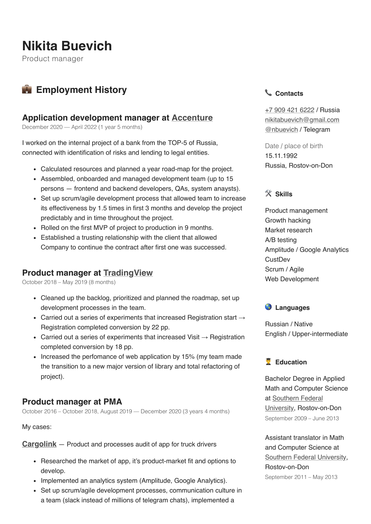# **Nikita Buevich**

Product manager

# **Employment History**

### **Application development manager at [Accenture](https://accenture.com/)**

December 2020 — April 2022 (1 year 5 months)

I worked on the internal project of a bank from the TOP-5 of Russia, connected with identification of risks and lending to legal entities.

- Calculated resources and planned a year road-map for the project.
- Assembled, onboarded and managed development team (up to 15 persons — frontend and backend developers, QAs, system anaysts).
- Set up scrum/agile development process that allowed team to increase its effectiveness by 1.5 times in first 3 months and develop the project predictably and in time throughout the project.
- Rolled on the first MVP of project to production in 9 months.
- Established a trusting relationship with the client that allowed Company to continue the contract after first one was successed.

# **Product manager at [TradingView](https://tradingview.com/)**

October 2018 – May 2019 (8 months)

- Cleaned up the backlog, prioritized and planned the roadmap, set up development processes in the team.
- Carried out a series of experiments that increased Registration start  $\rightarrow$ Registration completed conversion by 22 pp.
- Carried out a series of experiments that increased Visit  $\rightarrow$  Registration completed conversion by 18 pp.
- Increased the perfomance of web application by 15% (my team made the transition to a new major version of library and total refactoring of project).

# **Product manager at PMA**

October 2016 – October 2018, August 2019 — December 2020 (3 years 4 months)

My cases:

**[Cargolink](https://cargolink.ru/)** — Product and processes audit of app for truck drivers

- Researched the market of app, it's product-market fit and options to develop.
- Implemented an analytics system (Amplitude, Google Analytics).
- Set up scrum/agile development processes, communication culture in a team (slack instead of millions of telegram chats), implemented a

#### **Contacts**

[+7 909 421 6222](tel:89094216222) / Russia [nikitabuevich@gmail.com](mailto:nikitabuevich@gmail.com) [@nbuevich](https://t.me/nbuevich) / Telegram

Date / place of birth 15.11.1992 Russia, Rostov-on-Don

#### **Skills**

Product management Growth hacking Market research A/B testing Amplitude / Google Analytics **CustDev** Scrum / Agile Web Development



Russian / Native English / Upper-intermediate

#### **Education**

Bachelor Degree in Applied Math and Computer Science at Southern Federal [University, Rostov-o](http://mmcs.sfedu.ru/)n-Don September 2009 – June 2013

Assistant translator in Math and Computer Science at Southern [Federal University,](https://sfedu.ru/) Rostov-on-Don September 2011 – May 2013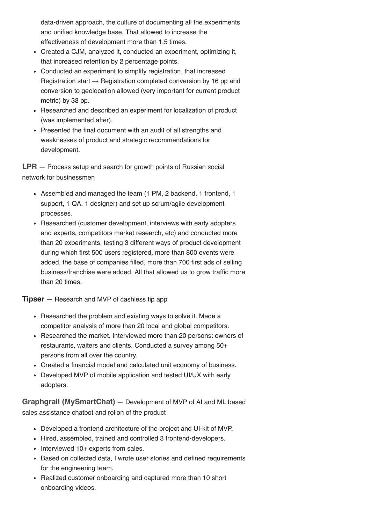data-driven approach, the culture of documenting all the experiments and unified knowledge base. That allowed to increase the effectiveness of development more than 1.5 times.

- Created a CJM, analyzed it, conducted an experiment, optimizing it, that increased retention by 2 percentage points.
- Conducted an experiment to simplify registration, that increased Registration start  $\rightarrow$  Registration completed conversion by 16 pp and conversion to geolocation allowed (very important for current product metric) by 33 pp.
- Researched and described an experiment for localization of product (was implemented after).
- Presented the final document with an audit of all strengths and weaknesses of product and strategic recommendations for development.

**[LPR](https://lpr.ru/)** — Process setup and search for growth points of Russian social network for businessmen

- Assembled and managed the team (1 PM, 2 backend, 1 frontend, 1 support, 1 QA, 1 designer) and set up scrum/agile development processes.
- Researched (customer development, interviews with early adopters and experts, competitors market research, etc) and conducted more than 20 experiments, testing 3 different ways of product development during which first 500 users registered, more than 800 events were added, the base of companies filled, more than 700 first ads of selling business/franchise were added. All that allowed us to grow traffic more than 20 times.

**Tipser** — Research and MVP of cashless tip app

- Researched the problem and existing ways to solve it. Made a competitor analysis of more than 20 local and global competitors.
- Researched the market. Interviewed more than 20 persons: owners of restaurants, waiters and clients. Conducted a survey among 50+ persons from all over the country.
- Created a financial model and calculated unit economy of business.
- Developed MVP of mobile application and tested UI/UX with early adopters.

**[Graphgrail \(MySmartChat\)](http://graphgrail.com/)** — Development of MVP of AI and ML based sales assistance chatbot and rollon of the product

- Developed a frontend architecture of the project and UI-kit of MVP.
- Hired, assembled, trained and controlled 3 frontend-developers.
- Interviewed 10+ experts from sales.
- Based on collected data, I wrote user stories and defined requirements for the engineering team.
- Realized customer onboarding and captured more than 10 short onboarding videos.